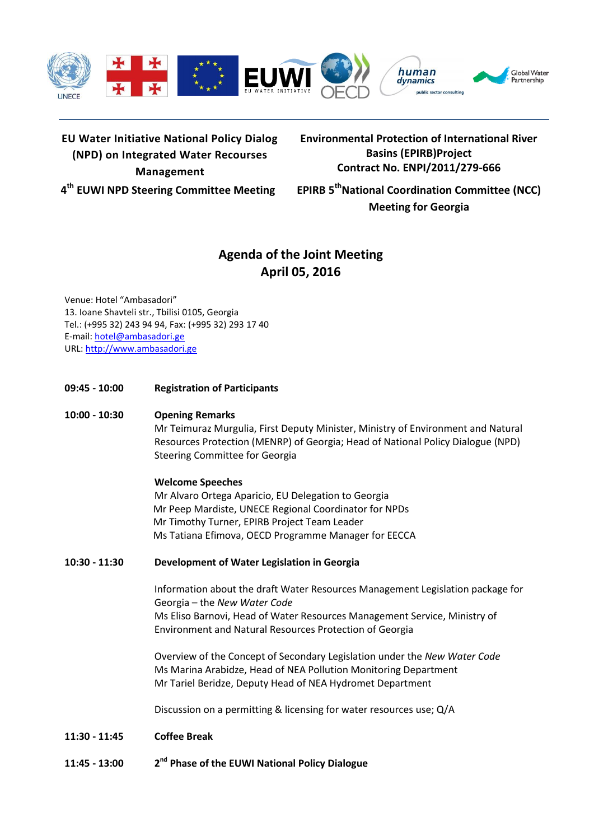

# **EU Water Initiative National Policy Dialog (NPD) on Integrated Water Recourses Management**

**Environmental Protection of International River Basins (EPIRB)Project Contract No. ENPI/2011/279-666**

**4 th EUWI NPD Steering Committee Meeting EPIRB 5**

**thNational Coordination Committee (NCC) Meeting for Georgia**

# **Agenda of the Joint Meeting April 05, 2016**

Venue: Hotel "Ambasadori" 13. Ioane Shavteli str., Tbilisi 0105, Georgia Tel.: (+995 32) 243 94 94, Fax: (+995 32) 293 17 40 E-mail: [hotel@ambasadori.ge](mailto:hotel@ambasadori.ge) URL: [http://www.ambasadori.ge](http://www.ambasadori.ge/)

**09:45 - 10:00 Registration of Participants**

## **10:00 - 10:30 Opening Remarks**

Mr Teimuraz Murgulia, First Deputy Minister, Ministry of Environment and Natural Resources Protection (MENRP) of Georgia; Head of National Policy Dialogue (NPD) Steering Committee for Georgia

### **Welcome Speeches**

Mr Alvaro Ortega Aparicio, EU Delegation to Georgia Mr Peep Mardiste, UNECE Regional Coordinator for NPDs Mr Timothy Turner, EPIRB Project Team Leader Ms Tatiana Efimova, OECD Programme Manager for EECCA

### **10:30 - 11:30 Development of Water Legislation in Georgia**

Information about the draft Water Resources Management Legislation package for Georgia – the *New Water Code* Ms Eliso Barnovi, Head of Water Resources Management Service, Ministry of Environment and Natural Resources Protection of Georgia

Overview of the Concept of Secondary Legislation under the *New Water Code* Ms Marina Arabidze, Head of NEA Pollution Monitoring Department Mr Tariel Beridze, Deputy Head of NEA Hydromet Department

Discussion on a permitting & licensing for water resources use; Q/A

- **11:30 - 11:45 Coffee Break**
- **11:45 - 13:00 2 nd Phase of the EUWI National Policy Dialogue**